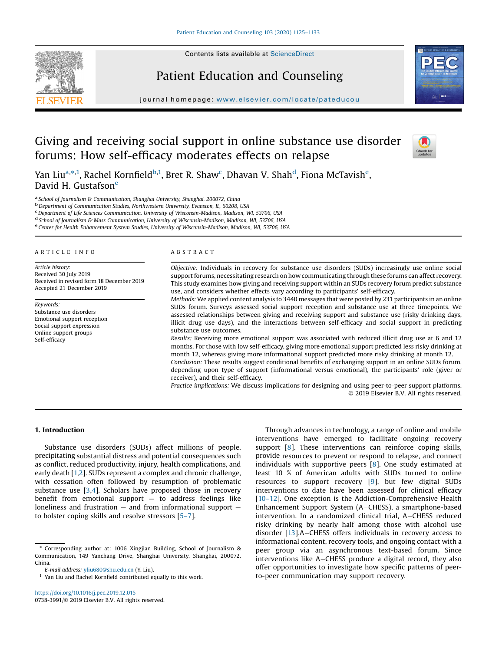Contents lists available at [ScienceDirect](http://www.sciencedirect.com/science/journal/07383991)







journal homepage: <www.elsevier.com/locate/pateducou>

# Giving and receiving social support in online substance use disorder forums: How self-efficacy moderates effects on relapse



Yan Liu<sup>a,</sup>\*<sup>,1</sup>, Rachel Kornfield<sup>b,1</sup>, Bret R. Shaw<sup>c</sup>, Dhavan V. Shah<sup>d</sup>, Fiona McTavish<sup>e</sup>, David H. Gustafsone

<sup>a</sup> School of Journalism & Communication, Shanghai University, Shanghai, 200072, China<br><sup>b</sup> Department of Communication Studies, Northwestern University, Evanston, IL, 60208, USA<br><sup>c</sup> Department of Life Sciences Communicati

<sup>d</sup> School of Journalism & Mass Communication, University of Wisconsin-Madison, Madison, WI, 53706, USA<br><sup>e</sup> Center for Health Enhancement System Studies, University of Wisconsin-Madison, Madison, WI, 53706, USA

#### A R T I C L E I N F O

Article history: Received 30 July 2019 Received in revised form 18 December 2019 Accepted 21 December 2019

Keywords: Substance use disorders Emotional support reception Social support expression Online support groups Self-efficacy

#### A B S T R A C T

Objective: Individuals in recovery for substance use disorders (SUDs) increasingly use online social support forums, necessitating research on how communicating through these forums can affect recovery. This study examines how giving and receiving support within an SUDs recovery forum predict substance use, and considers whether effects vary according to participants' self-efficacy.

Methods: We applied content analysis to 3440 messages that were posted by 231 participants in an online SUDs forum. Surveys assessed social support reception and substance use at three timepoints. We assessed relationships between giving and receiving support and substance use (risky drinking days, illicit drug use days), and the interactions between self-efficacy and social support in predicting substance use outcomes.

Results: Receiving more emotional support was associated with reduced illicit drug use at 6 and 12 months. For those with low self-efficacy, giving more emotional support predicted less risky drinking at month 12, whereas giving more informational support predicted more risky drinking at month 12.

Conclusion: These results suggest conditional benefits of exchanging support in an online SUDs forum, depending upon type of support (informational versus emotional), the participants' role (giver or receiver), and their self-efficacy.

Practice implications: We discuss implications for designing and using peer-to-peer support platforms. © 2019 Elsevier B.V. All rights reserved.

## 1. Introduction

Substance use disorders (SUDs) affect millions of people, precipitating substantial distress and potential consequences such as conflict, reduced productivity, injury, health complications, and early death [[1,2](#page-6-0)]. SUDs represent a complex and chronic challenge, with cessation often followed by resumption of problematic substance use  $[3,4]$  $[3,4]$ . Scholars have proposed those in recovery benefit from emotional support  $-$  to address feelings like loneliness and frustration — and from informational support to bolster coping skills and resolve stressors [5–[7\]](#page-6-0).

Through advances in technology, a range of online and mobile interventions have emerged to facilitate ongoing recovery support [\[8](#page-6-0)]. These interventions can reinforce coping skills, provide resources to prevent or respond to relapse, and connect individuals with supportive peers [[8\]](#page-6-0). One study estimated at least 10 % of American adults with SUDs turned to online resources to support recovery [[9](#page-6-0)], but few digital SUDs interventions to date have been assessed for clinical efficacy [10–[12](#page-6-0)]. One exception is the Addiction-Comprehensive Health Enhancement Support System (A-CHESS), a smartphone-based intervention. In a randomized clinical trial, A-CHESS reduced risky drinking by nearly half among those with alcohol use disorder  $[13]$  $[13]$  $[13]$ .A-CHESS offers individuals in recovery access to informational content, recovery tools, and ongoing contact with a peer group via an asynchronous text-based forum. Since interventions like A-CHESS produce a digital record, they also offer opportunities to investigate how specific patterns of peerto-peer communication may support recovery.

Corresponding author at: 1006 Xingjian Building, School of Journalism & Communication, 149 Yanchang Drive, Shanghai University, Shanghai, 200072, China.

E-mail address: [yliu680@shu.edu.cn](mailto:yliu680@shu.edu.cn) (Y. Liu).

Yan Liu and Rachel Kornfield contributed equally to this work.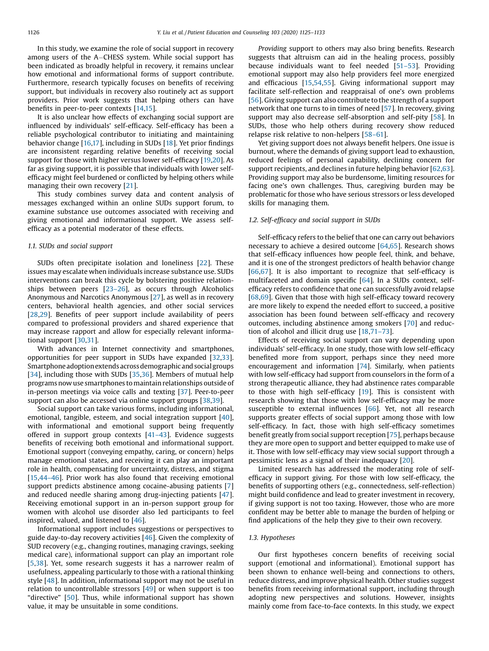In this study, we examine the role of social support in recovery among users of the  $A$ -CHESS system. While social support has been indicated as broadly helpful in recovery, it remains unclear how emotional and informational forms of support contribute. Furthermore, research typically focuses on benefits of receiving support, but individuals in recovery also routinely act as support providers. Prior work suggests that helping others can have benefits in peer-to-peer contexts [[14,15](#page-6-0)].

It is also unclear how effects of exchanging social support are influenced by individuals' self-efficacy. Self-efficacy has been a reliable psychological contributor to initiating and maintaining behavior change [[16](#page-6-0),[17](#page-6-0)], including in SUDs [[18](#page-6-0)]. Yet prior findings are inconsistent regarding relative benefits of receiving social support for those with higher versus lower self-efficacy [[19,20\]](#page-6-0). As far as giving support, it is possible that individuals with lower selfefficacy might feel burdened or conflicted by helping others while managing their own recovery [[21](#page-6-0)].

This study combines survey data and content analysis of messages exchanged within an online SUDs support forum, to examine substance use outcomes associated with receiving and giving emotional and informational support. We assess selfefficacy as a potential moderator of these effects.

#### 1.1. SUDs and social support

SUDs often precipitate isolation and loneliness [\[22](#page-6-0)]. These issues may escalate when individuals increase substance use. SUDs interventions can break this cycle by bolstering positive relationships between peers [23–[26\]](#page-6-0), as occurs through Alcoholics Anonymous and Narcotics Anonymous [\[27](#page-6-0)], as well as in recovery centers, behavioral health agencies, and other social services [[28,29](#page-6-0)]. Benefits of peer support include availability of peers compared to professional providers and shared experience that may increase rapport and allow for especially relevant informational support [\[30,31](#page-6-0)].

With advances in Internet connectivity and smartphones, opportunities for peer support in SUDs have expanded [[32](#page-6-0)[,33\]](#page-7-0). Smartphone adoption extends across demographic and social groups [[34](#page-7-0)], including those with SUDs [[35,36](#page-7-0)]. Members of mutual help programs now use smartphones to maintain relationships outside of in-person meetings via voice calls and texting [[37](#page-7-0)]. Peer-to-peer support can also be accessed via online support groups [[38,39](#page-7-0)].

Social support can take various forms, including informational, emotional, tangible, esteem, and social integration support [\[40\]](#page-7-0), with informational and emotional support being frequently offered in support group contexts [41–[43](#page-7-0)]. Evidence suggests benefits of receiving both emotional and informational support. Emotional support (conveying empathy, caring, or concern) helps manage emotional states, and receiving it can play an important role in health, compensating for uncertainty, distress, and stigma [[15](#page-6-0),[44](#page-7-0)–46]. Prior work has also found that receiving emotional support predicts abstinence among cocaine-abusing patients [[7\]](#page-6-0) and reduced needle sharing among drug-injecting patients [\[47\]](#page-7-0). Receiving emotional support in an in-person support group for women with alcohol use disorder also led participants to feel inspired, valued, and listened to [\[46](#page-7-0)].

Informational support includes suggestions or perspectives to guide day-to-day recovery activities [\[46](#page-7-0)]. Given the complexity of SUD recovery (e.g., changing routines, managing cravings, seeking medical care), informational support can play an important role [[5](#page-6-0),[38](#page-7-0)]. Yet, some research suggests it has a narrower realm of usefulness, appealing particularly to those with a rational thinking style [\[48\]](#page-7-0). In addition, informational support may not be useful in relation to uncontrollable stressors  $[49]$  $[49]$  or when support is too "directive" [\[50](#page-7-0)]. Thus, while informational support has shown value, it may be unsuitable in some conditions.

Providing support to others may also bring benefits. Research suggests that altruism can aid in the healing process, possibly because individuals want to feel needed [51–[53](#page-7-0)]. Providing emotional support may also help providers feel more energized and efficacious [\[15](#page-6-0)[,54,55\]](#page-7-0). Giving informational support may facilitate self-reflection and reappraisal of one's own problems [[56](#page-7-0)]. Giving support can also contribute to the strength of a support network that one turns to in times of need [[57](#page-7-0)]. In recovery, giving support may also decrease self-absorption and self-pity [[58\]](#page-7-0). In SUDs, those who help others during recovery show reduced relapse risk relative to non-helpers [58–[61\]](#page-7-0).

Yet giving support does not always benefit helpers. One issue is burnout, where the demands of giving support lead to exhaustion, reduced feelings of personal capability, declining concern for support recipients, and declines in future helping behavior [\[62,63\]](#page-7-0). Providing support may also be burdensome, limiting resources for facing one's own challenges. Thus, caregiving burden may be problematic for those who have serious stressors or less developed skills for managing them.

### 1.2. Self-efficacy and social support in SUDs

Self-efficacy refers to the belief that one can carry out behaviors necessary to achieve a desired outcome [\[64,65\]](#page-7-0). Research shows that self-efficacy influences how people feel, think, and behave, and it is one of the strongest predictors of health behavior change [[66](#page-7-0),[67](#page-7-0)]. It is also important to recognize that self-efficacy is multifaceted and domain specific [\[64\]](#page-7-0). In a SUDs context, selfefficacy refers to confidence that one can successfully avoid relapse [[68](#page-7-0),[69](#page-7-0)]. Given that those with high self-efficacy toward recovery are more likely to expend the needed effort to succeed, a positive association has been found between self-efficacy and recovery outcomes, including abstinence among smokers [[70](#page-7-0)] and reduction of alcohol and illicit drug use [[18](#page-6-0),71–[73\]](#page-7-0).

Effects of receiving social support can vary depending upon individuals' self-efficacy. In one study, those with low self-efficacy benefited more from support, perhaps since they need more encouragement and information [\[74](#page-7-0)]. Similarly, when patients with low self-efficacy had support from counselors in the form of a strong therapeutic alliance, they had abstinence rates comparable to those with high self-efficacy [\[19](#page-6-0)]. This is consistent with research showing that those with low self-efficacy may be more susceptible to external influences [[66](#page-7-0)]. Yet, not all research supports greater effects of social support among those with low self-efficacy. In fact, those with high self-efficacy sometimes benefit greatly from social support reception [[75](#page-7-0)], perhaps because they are more open to support and better equipped to make use of it. Those with low self-efficacy may view social support through a pessimistic lens as a signal of their inadequacy [\[20](#page-6-0)].

Limited research has addressed the moderating role of selfefficacy in support giving. For those with low self-efficacy, the benefits of supporting others (e.g., connectedness, self-reflection) might build confidence and lead to greater investment in recovery, if giving support is not too taxing. However, those who are more confident may be better able to manage the burden of helping or find applications of the help they give to their own recovery.

## 1.3. Hypotheses

Our first hypotheses concern benefits of receiving social support (emotional and informational). Emotional support has been shown to enhance well-being and connections to others, reduce distress, and improve physical health. Other studies suggest benefits from receiving informational support, including through adopting new perspectives and solutions. However, insights mainly come from face-to-face contexts. In this study, we expect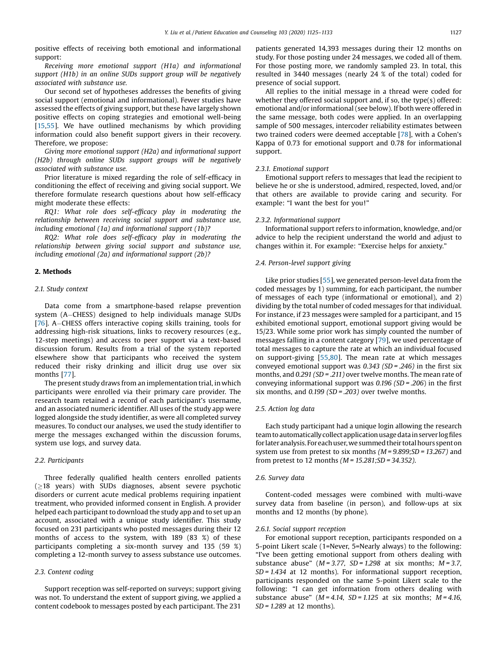positive effects of receiving both emotional and informational support:

Receiving more emotional support (H1a) and informational support (H1b) in an online SUDs support group will be negatively associated with substance use.

Our second set of hypotheses addresses the benefits of giving social support (emotional and informational). Fewer studies have assessed the effects of giving support, but these have largely shown positive effects on coping strategies and emotional well-being [[15,](#page-6-0)[55](#page-7-0)]. We have outlined mechanisms by which providing information could also benefit support givers in their recovery. Therefore, we propose:

Giving more emotional support (H2a) and informational support (H2b) through online SUDs support groups will be negatively associated with substance use.

Prior literature is mixed regarding the role of self-efficacy in conditioning the effect of receiving and giving social support. We therefore formulate research questions about how self-efficacy might moderate these effects:

RQ1: What role does self-efficacy play in moderating the relationship between receiving social support and substance use, including emotional (1a) and informational support (1b)?

RQ2: What role does self-efficacy play in moderating the relationship between giving social support and substance use, including emotional (2a) and informational support (2b)?

## 2. Methods

## 2.1. Study context

Data come from a smartphone-based relapse prevention system (A-CHESS) designed to help individuals manage SUDs [[76](#page-7-0)]. A–CHESS offers interactive coping skills training, tools for addressing high-risk situations, links to recovery resources (e.g., 12-step meetings) and access to peer support via a text-based discussion forum. Results from a trial of the system reported elsewhere show that participants who received the system reduced their risky drinking and illicit drug use over six months [\[77](#page-7-0)].

The present study draws from an implementation trial, in which participants were enrolled via their primary care provider. The research team retained a record of each participant's username, and an associated numeric identifier. All uses of the study app were logged alongside the study identifier, as were all completed survey measures. To conduct our analyses, we used the study identifier to merge the messages exchanged within the discussion forums, system use logs, and survey data.

# 2.2. Participants

Three federally qualified health centers enrolled patients  $(>18$  years) with SUDs diagnoses, absent severe psychotic disorders or current acute medical problems requiring inpatient treatment, who provided informed consent in English. A provider helped each participant to download the study app and to set up an account, associated with a unique study identifier. This study focused on 231 participants who posted messages during their 12 months of access to the system, with 189 (83 %) of these participants completing a six-month survey and 135 (59 %) completing a 12-month survey to assess substance use outcomes.

## 2.3. Content coding

Support reception was self-reported on surveys; support giving was not. To understand the extent of support giving, we applied a content codebook to messages posted by each participant. The 231 patients generated 14,393 messages during their 12 months on study. For those posting under 24 messages, we coded all of them. For those posting more, we randomly sampled 23. In total, this resulted in 3440 messages (nearly 24 % of the total) coded for presence of social support.

All replies to the initial message in a thread were coded for whether they offered social support and, if so, the type(s) offered: emotional and/or informational (see below). If both were offered in the same message, both codes were applied. In an overlapping sample of 500 messages, intercoder reliability estimates between two trained coders were deemed acceptable [\[78\]](#page-7-0), with a Cohen's Kappa of 0.73 for emotional support and 0.78 for informational support.

#### 2.3.1. Emotional support

Emotional support refers to messages that lead the recipient to believe he or she is understood, admired, respected, loved, and/or that others are available to provide caring and security. For example: "I want the best for you!"

## 2.3.2. Informational support

Informational support refers to information, knowledge, and/or advice to help the recipient understand the world and adjust to changes within it. For example: "Exercise helps for anxiety."

## 2.4. Person-level support giving

Like prior studies [\[55](#page-7-0)], we generated person-level data from the coded messages by 1) summing, for each participant, the number of messages of each type (informational or emotional), and 2) dividing by the total number of coded messages for that individual. For instance, if 23 messages were sampled for a participant, and 15 exhibited emotional support, emotional support giving would be 15/23. While some prior work has simply counted the number of messages falling in a content category [[79](#page-7-0)], we used percentage of total messages to capture the rate at which an individual focused on support-giving [\[55,80\]](#page-7-0). The mean rate at which messages conveyed emotional support was  $0.343$  (SD = .246) in the first six months, and 0.291 (SD = .211) over twelve months. The mean rate of conveying informational support was  $0.196$  (SD = .206) in the first six months, and  $0.199$  (SD = .203) over twelve months.

## 2.5. Action log data

Each study participant had a unique login allowing the research teamto automaticallycollectapplicationusage data in serverlogfiles for later analysis. For each user, we summed their total hours spent on system use from pretest to six months  $(M = 9.899; SD = 13.267)$  and from pretest to 12 months ( $M = 15.281$ ; SD = 34.352).

## 2.6. Survey data

Content-coded messages were combined with multi-wave survey data from baseline (in person), and follow-ups at six months and 12 months (by phone).

## 2.6.1. Social support reception

For emotional support reception, participants responded on a 5-point Likert scale (1=Never, 5=Nearly always) to the following: "I've been getting emotional support from others dealing with substance abuse"  $(M = 3.77, SD = 1.298$  at six months;  $M = 3.7$ ,  $SD = 1.434$  at 12 months). For informational support reception, participants responded on the same 5-point Likert scale to the following: "I can get information from others dealing with substance abuse" ( $M = 4.14$ ,  $SD = 1.125$  at six months;  $M = 4.16$ ,  $SD = 1.289$  at 12 months).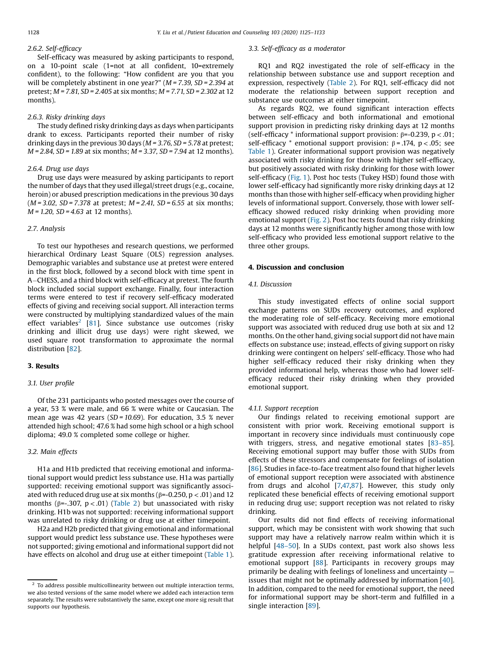#### 2.6.2. Self-efficacy

Self-efficacy was measured by asking participants to respond, on a 10-point scale (1=not at all confident, 10=extremely confident), to the following: "How confident are you that you will be completely abstinent in one year?" ( $M = 7.39$ , SD = 2.394 at pretest; M = 7.81, SD = 2.405 at six months; M = 7.71, SD = 2.302 at 12 months).

## 2.6.3. Risky drinking days

The study defined risky drinking days as days when participants drank to excess. Participants reported their number of risky drinking days in the previous 30 days ( $M = 3.76$ , SD = 5.78 at pretest;  $M = 2.84$ , SD = 1.89 at six months;  $M = 3.37$ , SD = 7.94 at 12 months).

#### 2.6.4. Drug use days

Drug use days were measured by asking participants to report the number of days that they used illegal/street drugs (e.g., cocaine, heroin) or abused prescription medications in the previous 30 days  $(M = 3.02, SD = 7.378$  at pretest;  $M = 2.41, SD = 6.55$  at six months;  $M = 1.20$ ,  $SD = 4.63$  at 12 months).

#### 2.7. Analysis

To test our hypotheses and research questions, we performed hierarchical Ordinary Least Square (OLS) regression analyses. Demographic variables and substance use at pretest were entered in the first block, followed by a second block with time spent in <sup>A</sup>CHESS, and <sup>a</sup> third block with self-efficacy at pretest. The fourth block included social support exchange. Finally, four interaction terms were entered to test if recovery self-efficacy moderated effects of giving and receiving social support. All interaction terms were constructed by multiplying standardized values of the main effect variables<sup>2</sup> [[81](#page-7-0)]. Since substance use outcomes (risky drinking and illicit drug use days) were right skewed, we used square root transformation to approximate the normal distribution [[82](#page-7-0)].

#### 3. Results

## 3.1. User profile

Of the 231 participants who posted messages over the course of a year, 53 % were male, and 66 % were white or Caucasian. The mean age was 42 years ( $SD = 10.69$ ). For education, 3.5 % never attended high school; 47.6 % had some high school or a high school diploma; 49.0 % completed some college or higher.

## 3.2. Main effects

H1a and H1b predicted that receiving emotional and informational support would predict less substance use. H1a was partially supported: receiving emotional support was significantly associated with reduced drug use at six months ( $\beta$ =-0.250, p < .01) and 12 months ( $\beta$ =-.307,  $p < .01$ ) [\(Table](#page-4-0) 2) but unassociated with risky drinking. H1b was not supported: receiving informational support was unrelated to risky drinking or drug use at either timepoint.

H2a and H2b predicted that giving emotional and informational support would predict less substance use. These hypotheses were not supported; giving emotional and informational support did not have effects on alcohol and drug use at either timepoint [\(Table](#page-4-0) 1).

#### 3.3. Self-efficacy as a moderator

RQ1 and RQ2 investigated the role of self-efficacy in the relationship between substance use and support reception and expression, respectively ([Table](#page-4-0) 2). For RQ1, self-efficacy did not moderate the relationship between support reception and substance use outcomes at either timepoint.

As regards RQ2, we found significant interaction effects between self-efficacy and both informational and emotional support provision in predicting risky drinking days at 12 months (self-efficacy  $*$  informational support provision:  $\beta$ =-0.239, p < .01; self-efficacy  $*$  emotional support provision:  $\beta = .174$ ,  $p < .05$ ; see [Table](#page-4-0) 1). Greater informational support provision was negatively associated with risky drinking for those with higher self-efficacy, but positively associated with risky drinking for those with lower self-efficacy [\(Fig.](#page-5-0) 1). Post hoc tests (Tukey HSD) found those with lower self-efficacy had significantly more risky drinking days at 12 months than those with higher self-efficacy when providing higher levels of informational support. Conversely, those with lower selfefficacy showed reduced risky drinking when providing more emotional support [\(Fig.](#page-5-0) 2). Post hoc tests found that risky drinking days at 12 months were significantly higher among those with low self-efficacy who provided less emotional support relative to the three other groups.

## 4. Discussion and conclusion

## 4.1. Discussion

This study investigated effects of online social support exchange patterns on SUDs recovery outcomes, and explored the moderating role of self-efficacy. Receiving more emotional support was associated with reduced drug use both at six and 12 months. On the other hand, giving social support did not have main effects on substance use; instead, effects of giving support on risky drinking were contingent on helpers' self-efficacy. Those who had higher self-efficacy reduced their risky drinking when they provided informational help, whereas those who had lower selfefficacy reduced their risky drinking when they provided emotional support.

## 4.1.1. Support reception

Our findings related to receiving emotional support are consistent with prior work. Receiving emotional support is important in recovery since individuals must continuously cope with triggers, stress, and negative emotional states [83–[85\]](#page-7-0). Receiving emotional support may buffer those with SUDs from effects of these stressors and compensate for feelings of isolation [[86](#page-7-0)]. Studies in face-to-face treatment also found that higher levels of emotional support reception were associated with abstinence from drugs and alcohol [[7,](#page-6-0)[47,87](#page-7-0)]. However, this study only replicated these beneficial effects of receiving emotional support in reducing drug use; support reception was not related to risky drinking.

Our results did not find effects of receiving informational support, which may be consistent with work showing that such support may have a relatively narrow realm within which it is helpful [48–[50\]](#page-7-0). In a SUDs context, past work also shows less gratitude expression after receiving informational relative to emotional support [[88](#page-7-0)]. Participants in recovery groups may primarily be dealing with feelings of loneliness and uncertainty issues that might not be optimally addressed by information [[40\]](#page-7-0). In addition, compared to the need for emotional support, the need for informational support may be short-term and fulfilled in a single interaction [\[89](#page-7-0)].

 $^{\rm 2}$  To address possible multicollinearity between out multiple interaction terms, we also tested versions of the same model where we added each interaction term separately. The results were substantively the same, except one more sig result that supports our hypothesis.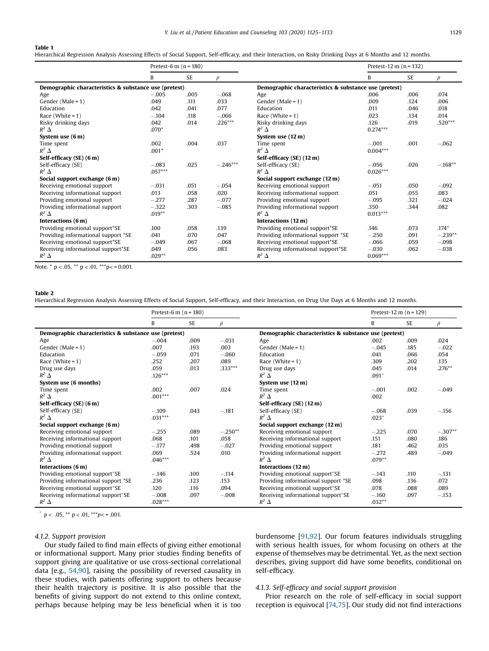#### <span id="page-4-0"></span>Table 1

Hierarchical Regression Analysis Assessing Effects of Social Support, Self-efficacy, and their Interaction, on Risky Drinking Days at 6 Months and 12 months.

|                                                       | Pretest-6 m $(n = 180)$ |           |            |                                                       | Pretest-12 m $(n = 132)$ |      |           |  |
|-------------------------------------------------------|-------------------------|-----------|------------|-------------------------------------------------------|--------------------------|------|-----------|--|
|                                                       | B                       | <b>SE</b> | $\beta$    |                                                       | B                        | SE   | β         |  |
| Demographic characteristics & substance use (pretest) |                         |           |            | Demographic characteristics & substance use (pretest) |                          |      |           |  |
| Age                                                   | $-.005$                 | .005      | $-.068$    | Age                                                   | .006                     | .006 | .074      |  |
| Gender (Male = $1$ )                                  | .049                    | .111      | .033       | Gender (Male = $1$ )                                  | .009                     | .124 | .006      |  |
| Education                                             | .042                    | .041      | .077       | Education                                             | .011                     | .046 | .018      |  |
| Race (White = $1$ )                                   | $-.104$                 | .118      | $-.066$    | Race (White = $1$ )                                   | .023                     | .134 | .014      |  |
| Risky drinking days                                   | .042                    | .014      | $.226***$  | Risky drinking days                                   | .126                     | .019 | $.520***$ |  |
| $R^2$ $\Delta$                                        | $.070*$                 |           |            | $R^2$ $\Delta$                                        | $0.274***$               |      |           |  |
| System use $(6m)$                                     |                         |           |            | System use (12 m)                                     |                          |      |           |  |
| Time spent                                            | .002                    | .004      | .037       | Time spent                                            | $-.001$                  | .001 | $-.062$   |  |
| $R^2$ $\Delta$                                        | $.001*$                 |           |            | $R^2$ $\Delta$                                        | $0.004***$               |      |           |  |
| Self-efficacy (SE) (6 m)                              |                         |           |            | Self-efficacy (SE) (12 m)                             |                          |      |           |  |
| Self-efficacy (SE)                                    | $-.083$                 | .025      | $-.246***$ | Self-efficacy (SE)                                    | $-.056$                  | .026 | $-.168**$ |  |
| $R^2$ $\Delta$                                        | $.057***$               |           |            | $R^2$ $\Delta$                                        | $0.026***$               |      |           |  |
| Social support exchange (6 m)                         |                         |           |            | Social support exchange (12 m)                        |                          |      |           |  |
| Receiving emotional support                           | $-.031$                 | .051      | $-.054$    | Receiving emotional support                           | $-.051$                  | .050 | $-.092$   |  |
| Receiving informational support                       | .013                    | .058      | .020       | Receiving informational support                       | .051                     | .055 | .083      |  |
| Providing emotional support                           | $-.277$                 | .287      | $-.077$    | Providing emotional support                           | $-.095$                  | .321 | $-.024$   |  |
| Providing informational support                       | $-.322$                 | .303      | $-.085$    | Providing informational support                       | .350                     | .344 | .082      |  |
| $R^2$ $\Delta$                                        | $.019**$                |           |            | $R^2$ $\Delta$                                        | $0.013***$               |      |           |  |
| Interactions (6 m)                                    |                         |           |            | Interactions (12 m)                                   |                          |      |           |  |
| Providing emotional support*SE                        | .100                    | .058      | .139       | Providing emotional support*SE                        | .146                     | .073 | $.174*$   |  |
| Providing informational support *SE                   | .041                    | .070      | .047       | Providing informational support *SE                   | $-.250$                  | .091 | $-.239**$ |  |
| Receiving emotional support*SE                        | $-.049$                 | .067      | $-.068$    | Receiving emotional support*SE                        | $-.066$                  | .059 | $-.098$   |  |
| Receiving informational support*SE                    | .049                    | .056      | .083       | Receiving informational support*SE                    | $-.030$                  | .062 | $-.038$   |  |
| $R^2$ $\Delta$                                        | $.029**$                |           |            | $R^2$ $\Delta$                                        | $0.069***$               |      |           |  |

Note.  $*$  p < .05,  $*$  p < .01,  $**$  p < = 0.001.

#### Table 2

Hierarchical Regression Analysis Assessing Effects of Social Support, Self-efficacy, and their Interaction, on Drug Use Days at 6 Months and 12 months.

|                                                       | Pretest-6 m $(n = 180)$                               |           |           |                                     | Pretest-12 m $(n = 129)$ |           |           |
|-------------------------------------------------------|-------------------------------------------------------|-----------|-----------|-------------------------------------|--------------------------|-----------|-----------|
|                                                       | B                                                     | <b>SE</b> | $\beta$   |                                     | B                        | <b>SE</b> | $\beta$   |
| Demographic characteristics & substance use (pretest) | Demographic characteristics & substance use (pretest) |           |           |                                     |                          |           |           |
| Age                                                   | $-.004$                                               | .009      | $-.031$   | Age                                 | .002                     | .009      | .024      |
| Gender (Male = $1$ )                                  | .007                                                  | .193      | .003      | Gender (Male = $1$ )                | $-.045$                  | .185      | $-.022$   |
| Education                                             | $-.059$                                               | .071      | $-.060$   | Education                           | .041                     | .066      | .054      |
| Race (White = $1$ )                                   | .252                                                  | .207      | .089      | Race (White = $1$ )                 | .309                     | .202      | .135      |
| Drug use days                                         | .059                                                  | .013      | $.333***$ | Drug use days                       | .045                     | .014      | $.276***$ |
| $R^2$ $\Delta$                                        | $.126***$                                             |           |           | $R^2$ $\Delta$                      | $.091*$                  |           |           |
| System use (6 months)                                 |                                                       |           |           | System use (12 m)                   |                          |           |           |
| Time spent                                            | .002                                                  | .007      | .024      | Time spent                          | $-.001$                  | .002      | $-.049$   |
| $R^2$ $\Delta$                                        | $.001***$                                             |           |           | $R^2$ $\Delta$                      | .002                     |           |           |
| Self-efficacy (SE) (6 m)                              |                                                       |           |           | Self-efficacy (SE) (12 m)           |                          |           |           |
| Self-efficacy (SE)                                    | $-.109$                                               | .043      | $-.181$   | Self-efficacy (SE)                  | $-.068$                  | .039      | $-.156$   |
| $R^2$ $\Delta$                                        | $.031***$                                             |           |           | $R^2$ $\Delta$                      | $.023*$                  |           |           |
| Social support exchange (6 m)                         |                                                       |           |           | Social support exchange (12 m)      |                          |           |           |
| Receiving emotional support                           | $-.255$                                               | .089      | $-.250**$ | Receiving emotional support         | $-.225$                  | .070      | $-.307**$ |
| Receiving informational support                       | .068                                                  | .101      | .058      | Receiving informational support     | .151                     | .080      | .186      |
| Providing emotional support                           | $-.177$                                               | .498      | $-.027$   | Providing emotional support         | .181                     | .462      | .035      |
| Providing informational support                       | .069                                                  | .524      | .010      | Providing informational support     | $-.272$                  | .489      | $-.049$   |
| $R^2$ $\Delta$                                        | $.046***$                                             |           |           | $R^2$ $\Delta$                      | $.079**$                 |           |           |
| Interactions (6 m)                                    |                                                       |           |           | Interactions (12 m)                 |                          |           |           |
| Providing emotional support*SE                        | $-.146$                                               | .100      | $-.114$   | Providing emotional support*SE      | $-.143$                  | .110      | $-.131$   |
| Providing informational support *SE                   | .236                                                  | .123      | .153      | Providing informational support *SE | .098                     | .136      | .072      |
| Receiving emotional support*SE                        | .120                                                  | .116      | .094      | Receiving emotional support*SE      | .078                     | .088      | .089      |
| Receiving informational support*SE                    | $-.008$                                               | .097      | $-.008$   | Receiving informational support*SE  | $-.160$                  | .097      | $-.153$   |
| $R^2$ $\Delta$                                        | $.028***$                                             |           |           | $R^2$ $\Delta$                      | $.032**$                 |           |           |

\*  $p < .05$ , \*\*  $p < .01$ , \*\*\* $p < .001$ .

### 4.1.2. Support provision

Our study failed to find main effects of giving either emotional or informational support. Many prior studies finding benefits of support giving are qualitative or use cross-sectional correlational data [e.g., [54,90](#page-7-0)], raising the possibility of reversed causality in these studies, with patients offering support to others because their health trajectory is positive. It is also possible that the benefits of giving support do not extend to this online context, perhaps because helping may be less beneficial when it is too burdensome [[91,92](#page-7-0)]. Our forum features individuals struggling with serious health issues, for whom focusing on others at the expense of themselves may be detrimental. Yet, as the next section describes, giving support did have some benefits, conditional on self-efficacy.

## 4.1.3. Self-efficacy and social support provision

Prior research on the role of self-efficacy in social support reception is equivocal [[74,75](#page-7-0)]. Our study did not find interactions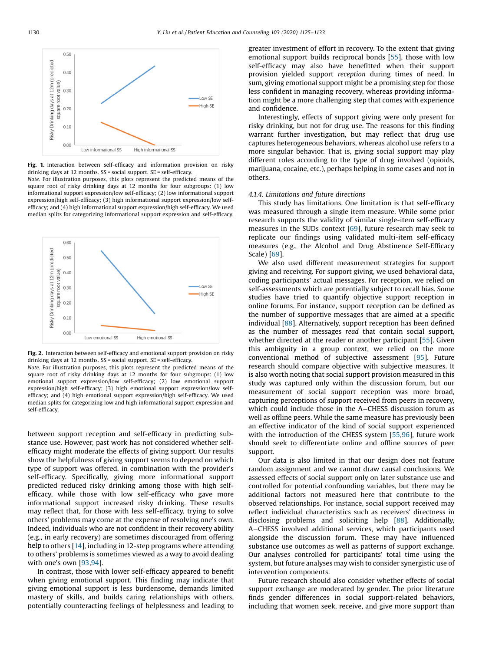<span id="page-5-0"></span>

Fig. 1. Interaction between self-efficacy and information provision on risky drinking days at 12 months. SS = social support. SE = self-efficacy.

Note. For illustration purposes, this plots represent the predicted means of the square root of risky drinking days at 12 months for four subgroups: (1) low informational support expression/low self-efficacy; (2) low informational support expression/high self-efficacy; (3) high informational support expression/low selfefficacy; and (4) high informational support expression/high self-efficacy. We used median splits for categorizing informational support expression and self-efficacy.



Fig. 2. Interaction between self-efficacy and emotional support provision on risky drinking days at 12 months. SS = social support. SE = self-efficacy.

Note. For illustration purposes, this plots represent the predicted means of the square root of risky drinking days at 12 months for four subgroups: (1) low emotional support expression/low self-efficacy; (2) low emotional support expression/high self-efficacy; (3) high emotional support expression/low selfefficacy; and (4) high emotional support expression/high self-efficacy. We used median splits for categorizing low and high informational support expression and self-efficacy.

between support reception and self-efficacy in predicting substance use. However, past work has not considered whether selfefficacy might moderate the effects of giving support. Our results show the helpfulness of giving support seems to depend on which type of support was offered, in combination with the provider's self-efficacy. Specifically, giving more informational support predicted reduced risky drinking among those with high selfefficacy, while those with low self-efficacy who gave more informational support increased risky drinking. These results may reflect that, for those with less self-efficacy, trying to solve others' problems may come at the expense of resolving one's own. Indeed, individuals who are not confident in their recovery ability (e.g., in early recovery) are sometimes discouraged from offering help to others [[14\]](#page-6-0), including in 12-step programs where attending to others' problems is sometimes viewed as a way to avoid dealing with one's own [\[93](#page-7-0),[94\]](#page-7-0).

In contrast, those with lower self-efficacy appeared to benefit when giving emotional support. This finding may indicate that giving emotional support is less burdensome, demands limited mastery of skills, and builds caring relationships with others, potentially counteracting feelings of helplessness and leading to

greater investment of effort in recovery. To the extent that giving emotional support builds reciprocal bonds [[55](#page-7-0)], those with low self-efficacy may also have benefitted when their support provision yielded support reception during times of need. In sum, giving emotional support might be a promising step for those less confident in managing recovery, whereas providing information might be a more challenging step that comes with experience and confidence.

Interestingly, effects of support giving were only present for risky drinking, but not for drug use. The reasons for this finding warrant further investigation, but may reflect that drug use captures heterogeneous behaviors, whereas alcohol use refers to a more singular behavior. That is, giving social support may play different roles according to the type of drug involved (opioids, marijuana, cocaine, etc.), perhaps helping in some cases and not in others.

### 4.1.4. Limitations and future directions

This study has limitations. One limitation is that self-efficacy was measured through a single item measure. While some prior research supports the validity of similar single-item self-efficacy measures in the SUDs context [\[69](#page-7-0)], future research may seek to replicate our findings using validated multi-item self-efficacy measures (e.g., the Alcohol and Drug Abstinence Self-Efficacy Scale) [[69\]](#page-7-0).

We also used different measurement strategies for support giving and receiving. For support giving, we used behavioral data, coding participants' actual messages. For reception, we relied on self-assessments which are potentially subject to recall bias. Some studies have tried to quantify objective support reception in online forums. For instance, support reception can be defined as the number of supportive messages that are aimed at a specific individual [[88](#page-7-0)]. Alternatively, support reception has been defined as the number of messages read that contain social support, whether directed at the reader or another participant [\[55](#page-7-0)]. Given this ambiguity in a group context, we relied on the more conventional method of subjective assessment [[95](#page-7-0)]. Future research should compare objective with subjective measures. It is also worth noting that social support provision measured in this study was captured only within the discussion forum, but our measurement of social support reception was more broad, capturing perceptions of support received from peers in recovery, which could include those in the A-CHESS discussion forum as well as offline peers. While the same measure has previously been an effective indicator of the kind of social support experienced with the introduction of the CHESS system [[55](#page-7-0)[,96](#page-8-0)], future work should seek to differentiate online and offline sources of peer support.

Our data is also limited in that our design does not feature random assignment and we cannot draw causal conclusions. We assessed effects of social support only on later substance use and controlled for potential confounding variables, but there may be additional factors not measured here that contribute to the observed relationships. For instance, social support received may reflect individual characteristics such as receivers' directness in disclosing problems and soliciting help [\[88](#page-7-0)]. Additionally, A-CHESS involved additional services, which participants used alongside the discussion forum. These may have influenced substance use outcomes as well as patterns of support exchange. Our analyses controlled for participants' total time using the system, but future analyses may wish to consider synergistic use of intervention components.

Future research should also consider whether effects of social support exchange are moderated by gender. The prior literature finds gender differences in social support-related behaviors, including that women seek, receive, and give more support than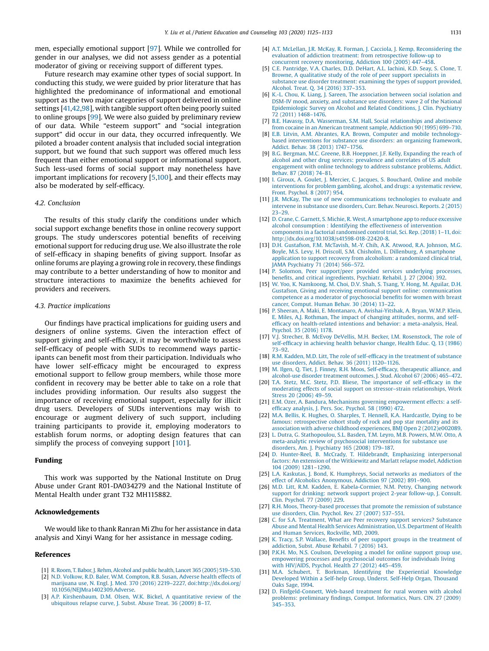<span id="page-6-0"></span>men, especially emotional support [[97](#page-8-0)]. While we controlled for gender in our analyses, we did not assess gender as a potential moderator of giving or receiving support of different types.

Future research may examine other types of social support. In conducting this study, we were guided by prior literature that has highlighted the predominance of informational and emotional support as the two major categories of support delivered in online settings [\[41,42](#page-7-0),[98](#page-8-0)], with tangible support often being poorly suited to online groups [\[99\]](#page-8-0). We were also guided by preliminary review of our data. While "esteem support" and "social integration support" did occur in our data, they occurred infrequently. We piloted a broader content analysis that included social integration support, but we found that such support was offered much less frequent than either emotional support or informational support. Such less-used forms of social support may nonetheless have important implications for recovery [5,[100](#page-8-0)], and their effects may also be moderated by self-efficacy.

#### 4.2. Conclusion

The results of this study clarify the conditions under which social support exchange benefits those in online recovery support groups. The study underscores potential benefits of receiving emotional support for reducing drug use. We also illustrate the role of self-efficacy in shaping benefits of giving support. Insofar as online forums are playing a growing role in recovery, these findings may contribute to a better understanding of how to monitor and structure interactions to maximize the benefits achieved for providers and receivers.

#### 4.3. Practice implications

Our findings have practical implications for guiding users and designers of online systems. Given the interaction effect of support giving and self-efficacy, it may be worthwhile to assess self-efficacy of people with SUDs to recommend ways participants can benefit most from their participation. Individuals who have lower self-efficacy might be encouraged to express emotional support to fellow group members, while those more confident in recovery may be better able to take on a role that includes providing information. Our results also suggest the importance of receiving emotional support, especially for illicit drug users. Developers of SUDs interventions may wish to encourage or augment delivery of such support, including training participants to provide it, employing moderators to establish forum norms, or adopting design features that can simplify the process of conveying support [\[101](#page-8-0)].

## Funding

This work was supported by the National Institute on Drug Abuse under Grant R01-DA034279 and the National Institute of Mental Health under grant T32 MH115882.

## Acknowledgements

We would like to thank Ranran Mi Zhu for her assistance in data analysis and Xinyi Wang for her assistance in message coding.

#### References

- [1] R. Room, T. Babor, J. Rehm, [Alcohol](http://refhub.elsevier.com/S0738-3991(19)30559-2/sbref0005) and public health, Lancet 365 (2005) 519–530.
- [2] N.D. Volkow, R.D. Baler, W.M. [Compton,](http://refhub.elsevier.com/S0738-3991(19)30559-2/sbref0010) R.B. Susan, Adverse health effects of marijuana use, N. Engl. J. Med. 370 (2016) 2219–2227, [doi:http://dx.doi.org/](http://refhub.elsevier.com/S0738-3991(19)30559-2/sbref0010) [10.1056/NEJMra1402309.Adverse.](http://dx.doi.org/10.1056/NEJMra1402309.Adverse)
- [3] A.P. [Kirshenbaum,](http://refhub.elsevier.com/S0738-3991(19)30559-2/sbref0015) D.M. Olsen, W.K. Bickel, A quantitative review of the [ubiquitous](http://refhub.elsevier.com/S0738-3991(19)30559-2/sbref0015) relapse curve, J. Subst. Abuse Treat. 36 (2009) 8–17.
- [4] A.T. McLellan, J.R. McKay, R. Forman, J. Cacciola, J. Kemp, [Reconsidering](http://refhub.elsevier.com/S0738-3991(19)30559-2/sbref0020) the evaluation of addiction treatment: from [retrospective](http://refhub.elsevier.com/S0738-3991(19)30559-2/sbref0020) follow-up to concurrent recovery [monitoring,](http://refhub.elsevier.com/S0738-3991(19)30559-2/sbref0020) Addiction 100 (2005) 447–458.
- [5] C.E. [Pantridge,](http://refhub.elsevier.com/S0738-3991(19)30559-2/sbref0025) V.A. Charles, D.D. DeHart, A.L. Iachini, K.D. Seay, S. Clone, T. Browne, A [qualitative](http://refhub.elsevier.com/S0738-3991(19)30559-2/sbref0025) study of the role of peer support specialists in substance use disorder [treatment:](http://refhub.elsevier.com/S0738-3991(19)30559-2/sbref0025) examining the types of support provided, [Alcohol.](http://refhub.elsevier.com/S0738-3991(19)30559-2/sbref0025) Treat. Q. 34 (2016) 337–353.
- [6] K.-L. Chou, K. Liang, J. Sareen, The [association](http://refhub.elsevier.com/S0738-3991(19)30559-2/sbref0030) between social isolation and DSM-IV mood, anxiety, and substance use [disorders:](http://refhub.elsevier.com/S0738-3991(19)30559-2/sbref0030) wave 2 of the National [Epidemiologic](http://refhub.elsevier.com/S0738-3991(19)30559-2/sbref0030) Survey on Alcohol and Related Conditions, J. Clin. Psychiatry 72 [\(2011\)](http://refhub.elsevier.com/S0738-3991(19)30559-2/sbref0030) 1468–1476.
- [7] B.E. Havassy, D.A. Wasserman, S.M. Hall, Social [relationships](http://refhub.elsevier.com/S0738-3991(19)30559-2/sbref0035) and abstinence from cocaine in an American [treatment](http://refhub.elsevier.com/S0738-3991(19)30559-2/sbref0035) sample, Addiction 90 (1995) 699–710.
- [8] E.B. Litvin, A.M. Abrantes, R.A. Brown, Computer and mobile [technology](http://refhub.elsevier.com/S0738-3991(19)30559-2/sbref0040)based [interventions](http://refhub.elsevier.com/S0738-3991(19)30559-2/sbref0040) for substance use disorders: an organizing framework, [Addict.](http://refhub.elsevier.com/S0738-3991(19)30559-2/sbref0040) Behav. 38 (2013) 1747–1756.
- [9] B.G. Bergman, M.C. Greene, B.B. Hoeppner, J.F. Kelly, [Expanding](http://refhub.elsevier.com/S0738-3991(19)30559-2/sbref0045) the reach of alcohol and other drug services: [prevalence](http://refhub.elsevier.com/S0738-3991(19)30559-2/sbref0045) and correlates of US adult [engagement](http://refhub.elsevier.com/S0738-3991(19)30559-2/sbref0045) with online technology to address substance problems, Addict. [Behav.](http://refhub.elsevier.com/S0738-3991(19)30559-2/sbref0045) 87 (2018) 74–81.
- [10] I. Giroux, A. Goulet, J. Mercier, C. Jacques, S. [Bouchard,](http://refhub.elsevier.com/S0738-3991(19)30559-2/sbref0050) Online and mobile [interventions](http://refhub.elsevier.com/S0738-3991(19)30559-2/sbref0050) for problem gambling, alcohol, and drugs: a systematic review, Front. [Psychol.](http://refhub.elsevier.com/S0738-3991(19)30559-2/sbref0050) 8 (2017) 954.
- [11] J.R. McKay, The use of new [communications](http://refhub.elsevier.com/S0738-3991(19)30559-2/sbref0055) technologies to evaluate and intervene in [substance](http://refhub.elsevier.com/S0738-3991(19)30559-2/sbref0055) use disorders, Curr. Behav. Neurosci. Reports. 2 (2015) 23–[29.](http://refhub.elsevier.com/S0738-3991(19)30559-2/sbref0055)
- [12] D. Crane, C. Garnett, S. Michie, R. West, A [smartphone](http://refhub.elsevier.com/S0738-3991(19)30559-2/sbref0060) app to reduce excessive alcohol [consumption](http://refhub.elsevier.com/S0738-3991(19)30559-2/sbref0060) : Identifying the effectiveness of intervention [components](http://refhub.elsevier.com/S0738-3991(19)30559-2/sbref0060) in a factorial randomised control trial, Sci. Rep. (2018) 1–11, doi: [http://dx.doi.org/10.1038/s41598-018-22420-8.](http://dx.doi.org/10.1038/s41598-018-22420-8)
- [13] D.H. [Gustafson,](http://refhub.elsevier.com/S0738-3991(19)30559-2/sbref0065) F.M. McTavish, M.-Y. Chih, A.K. Atwood, R.A. Johnson, M.G. Boyle, M.S. Levy, H. Driscoll, S.M. Chisholm, L. Dillenburg, A [smartphone](http://refhub.elsevier.com/S0738-3991(19)30559-2/sbref0065) application to support recovery from alcoholism: a [randomized](http://refhub.elsevier.com/S0738-3991(19)30559-2/sbref0065) clinical trial, JAMA [Psychiatry](http://refhub.elsevier.com/S0738-3991(19)30559-2/sbref0065) 71 (2014) 566–572.
- [14] P. Solomon, Peer [support/peer](http://refhub.elsevier.com/S0738-3991(19)30559-2/sbref0070) provided services underlying processes, benefits, and critical [ingredients,](http://refhub.elsevier.com/S0738-3991(19)30559-2/sbref0070) Psychiatr. Rehabil. J. 27 (2004) 392.
- [15] W. Yoo, K. [Namkoong,](http://refhub.elsevier.com/S0738-3991(19)30559-2/sbref0075) M. Choi, D.V. Shah, S. Tsang, Y. Hong, M. Aguilar, D.H. Gustafson, Giving and receiving emotional support online: [communication](http://refhub.elsevier.com/S0738-3991(19)30559-2/sbref0075) competence as a moderator of [psychosocial](http://refhub.elsevier.com/S0738-3991(19)30559-2/sbref0075) benefits for women with breast cancer, [Comput.](http://refhub.elsevier.com/S0738-3991(19)30559-2/sbref0075) Human Behav. 30 (2014) 13–22.
- [16] P. Sheeran, A. Maki, E. Montanaro, A. [Avishai-Yitshak,](http://refhub.elsevier.com/S0738-3991(19)30559-2/sbref0080) A. Bryan, W.M.P. Klein, E. Miles, A.J. [Rothman,](http://refhub.elsevier.com/S0738-3991(19)30559-2/sbref0080) The impact of changing attitudes, norms, and selfefficacy on health-related intentions and behavior: a [meta-analysis,](http://refhub.elsevier.com/S0738-3991(19)30559-2/sbref0080) Heal. [Psychol.](http://refhub.elsevier.com/S0738-3991(19)30559-2/sbref0080) 35 (2016) 1178.
- [17] V.J. Strecher, B. McEvoy DeVellis, M.H. Becker, I.M. [Rosenstock,](http://refhub.elsevier.com/S0738-3991(19)30559-2/sbref0085) The role of self-efficacy in [achieving](http://refhub.elsevier.com/S0738-3991(19)30559-2/sbref0085) health behavior change, Health Educ. Q. 13 (1986) [73](http://refhub.elsevier.com/S0738-3991(19)30559-2/sbref0085)–92.
- [18] R.M. Kadden, M.D. Litt, The role of self-efficacy in the [treatment](http://refhub.elsevier.com/S0738-3991(19)30559-2/sbref0090) of substance use [disorders,](http://refhub.elsevier.com/S0738-3991(19)30559-2/sbref0090) Addict. Behav. 36 (2011) 1120–1126.
- [19] M. Ilgen, Q. Tiet, J. Finney, R.H. Moos, Self-efficacy, [therapeutic](http://refhub.elsevier.com/S0738-3991(19)30559-2/sbref0095) alliance, and [alcohol-use](http://refhub.elsevier.com/S0738-3991(19)30559-2/sbref0095) disorder treatment outcomes, J. Stud. Alcohol 67 (2006) 465–472.
- [20] T.A. Stetz, M.C. Stetz, P.D. Bliese, The [importance](http://refhub.elsevier.com/S0738-3991(19)30559-2/sbref0100) of self-efficacy in the moderating effects of social support on stressor–strain [relationships,](http://refhub.elsevier.com/S0738-3991(19)30559-2/sbref0100) Work Stress 20 [\(2006\)](http://refhub.elsevier.com/S0738-3991(19)30559-2/sbref0100) 49–59.
- [21] E.M. Ozer, A. Bandura, Mechanisms governing [empowerment](http://refhub.elsevier.com/S0738-3991(19)30559-2/sbref0105) effects: a selfefficacy [analysis,](http://refhub.elsevier.com/S0738-3991(19)30559-2/sbref0105) J. Pers. Soc. Psychol. 58 (1990) 472.
- [22] M.A. Bellis, K. Hughes, O. Sharples, T. Hennell, K.A. [Hardcastle,](http://refhub.elsevier.com/S0738-3991(19)30559-2/sbref0110) Dying to be famous: [retrospective](http://refhub.elsevier.com/S0738-3991(19)30559-2/sbref0110) cohort study of rock and pop star mortality and its association with adverse childhood experiences, BMJ Open 2 [\(2012\)e002089](http://refhub.elsevier.com/S0738-3991(19)30559-2/sbref0110).
- [23] L. Dutra, G. [Stathopoulou,](http://refhub.elsevier.com/S0738-3991(19)30559-2/sbref0115) S.L. Basden, T.M. Leyro, M.B. Powers, M.W. Otto, A [meta-analytic](http://refhub.elsevier.com/S0738-3991(19)30559-2/sbref0115) review of psychosocial interventions for substance use
- disorders, Am. J. [Psychiatry](http://refhub.elsevier.com/S0738-3991(19)30559-2/sbref0115) 165 (2008) 179–187. [24] D. Hunter-Reel, B. McCrady, T. Hildebrandt, Emphasizing [interpersonal](http://refhub.elsevier.com/S0738-3991(19)30559-2/sbref0120) factors: An extension of the [Witkiewitz](http://refhub.elsevier.com/S0738-3991(19)30559-2/sbref0120) and Marlatt relapse model, Addiction 104 [\(2009\)](http://refhub.elsevier.com/S0738-3991(19)30559-2/sbref0120) 1281–1290.
- [25] L.A. Kaskutas, J. Bond, K. [Humphreys,](http://refhub.elsevier.com/S0738-3991(19)30559-2/sbref0125) Social networks as mediators of the effect of Alcoholics [Anonymous,](http://refhub.elsevier.com/S0738-3991(19)30559-2/sbref0125) Addiction 97 (2002) 891–900.
- [26] M.D. Litt, R.M. Kadden, E. [Kabela-Cormier,](http://refhub.elsevier.com/S0738-3991(19)30559-2/sbref0130) N.M. Petry, Changing network support for drinking: network support project 2-year [follow-up,](http://refhub.elsevier.com/S0738-3991(19)30559-2/sbref0130) J. Consult. Clin. [Psychol.](http://refhub.elsevier.com/S0738-3991(19)30559-2/sbref0130) 77 (2009) 229.
- [27] R.H. Moos, [Theory-based](http://refhub.elsevier.com/S0738-3991(19)30559-2/sbref0135) processes that promote the remission of substance use [disorders,](http://refhub.elsevier.com/S0738-3991(19)30559-2/sbref0135) Clin. Psychol. Rev. 27 (2007) 537–551.
- [28] C. for S.A. [Treatment,](http://refhub.elsevier.com/S0738-3991(19)30559-2/sbref0140) What are Peer recovery support services? Substance Abuse and Mental Health Services [Administration,](http://refhub.elsevier.com/S0738-3991(19)30559-2/sbref0140) U.S. Department of Health and Human Services, [Rockville,](http://refhub.elsevier.com/S0738-3991(19)30559-2/sbref0140) MD, 2009.
- [29] K. Tracy, S.P. Wallace, Benefits of peer support groups in the [treatment](http://refhub.elsevier.com/S0738-3991(19)30559-2/sbref0145) of [addiction,](http://refhub.elsevier.com/S0738-3991(19)30559-2/sbref0145) Subst. Abuse Rehabil. 7 (2016) 143.
- [30] P.K.H. Mo, N.S. Coulson, [Developing](http://refhub.elsevier.com/S0738-3991(19)30559-2/sbref0150) a model for online support group use, [empowering](http://refhub.elsevier.com/S0738-3991(19)30559-2/sbref0150) processes and psychosocial outcomes for individuals living with [HIV/AIDS,](http://refhub.elsevier.com/S0738-3991(19)30559-2/sbref0150) Psychol. Health 27 (2012) 445–459.
- [31] M.A. Schubert, T. Borkman, Identifying the [Experiential](http://refhub.elsevier.com/S0738-3991(19)30559-2/sbref0155) Knowledge [Developed](http://refhub.elsevier.com/S0738-3991(19)30559-2/sbref0155) Within a Self-help Group, Underst. Self-Help Organ, Thousand Oaks [Sage,](http://refhub.elsevier.com/S0738-3991(19)30559-2/sbref0155) 1994.
- [32] D. [Finfgeld-Connett,](http://refhub.elsevier.com/S0738-3991(19)30559-2/sbref0160) Web-based treatment for rural women with alcohol problems: preliminary findings, Comput. [Informatics,](http://refhub.elsevier.com/S0738-3991(19)30559-2/sbref0160) Nurs. CIN. 27 (2009) [345](http://refhub.elsevier.com/S0738-3991(19)30559-2/sbref0160)–353.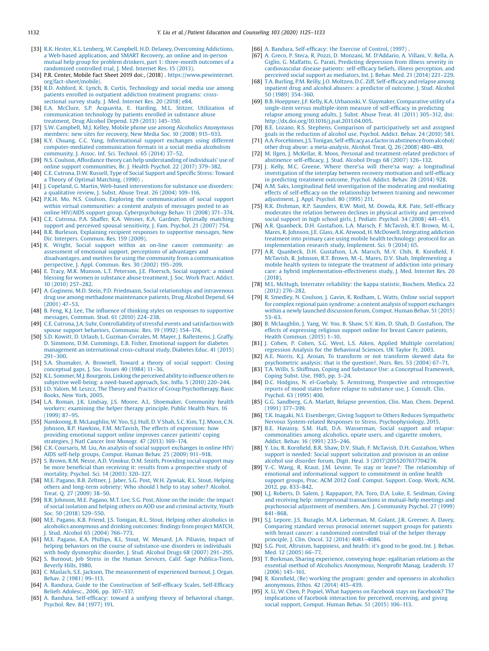- <span id="page-7-0"></span>[33] R.K. Hester, K.L. Lenberg, W. Campbell, H.D. Delaney, [Overcoming](http://refhub.elsevier.com/S0738-3991(19)30559-2/sbref0165) Addictions, a Web-based [application,](http://refhub.elsevier.com/S0738-3991(19)30559-2/sbref0165) and SMART Recovery, an online and in-person mutual help group for problem drinkers, part 1: [three-month](http://refhub.elsevier.com/S0738-3991(19)30559-2/sbref0165) outcomes of a [randomized](http://refhub.elsevier.com/S0738-3991(19)30559-2/sbref0165) controlled trial, J. Med. Internet Res. 15 (2013).
- [34] P.R. Center, Mobile Fact Sheet 2019 doi:, (2018) . [https://www.pewinternet.](https://www.pewinternet.org/fact-sheet/mobile/) [org/fact-sheet/mobile/](https://www.pewinternet.org/fact-sheet/mobile/).
- [35] R.D. Ashford, K. Lynch, B. Curtis, [Technology](http://refhub.elsevier.com/S0738-3991(19)30559-2/sbref0175) and social media use among patients enrolled in [outpatient](http://refhub.elsevier.com/S0738-3991(19)30559-2/sbref0175) addiction treatment programs: cross[sectional](http://refhub.elsevier.com/S0738-3991(19)30559-2/sbref0175) survey study, J. Med. Internet Res. 20 (2018) e84.
- [36] E.A. McClure, S.P. Acquavita, E. Harding, M.L. Stitzer, [Utilization](http://refhub.elsevier.com/S0738-3991(19)30559-2/sbref0180) of [communication](http://refhub.elsevier.com/S0738-3991(19)30559-2/sbref0180) technology by patients enrolled in substance abuse [treatment,](http://refhub.elsevier.com/S0738-3991(19)30559-2/sbref0180) Drug Alcohol Depend. 129 (2013) 145–150.
- [37] S.W. Campbell, M.J. Kelley, Mobile phone use among Alcoholics [Anonymous](http://refhub.elsevier.com/S0738-3991(19)30559-2/sbref0185) [members:](http://refhub.elsevier.com/S0738-3991(19)30559-2/sbref0185) new sites for recovery, New Media Soc. 10 (2008) 915–933.
- [38] K.Y. Chuang, C.C. Yang, [Informational](http://refhub.elsevier.com/S0738-3991(19)30559-2/sbref0190) support exchanges using different [computer-mediated](http://refhub.elsevier.com/S0738-3991(19)30559-2/sbref0190) communication formats in a social media alcoholism [community,](http://refhub.elsevier.com/S0738-3991(19)30559-2/sbref0190) J. Assoc. Inf. Sci. Technol. 65 (2014) 37–52.
- [39] N.S. Coulson, Affordance theory can help [understanding](http://refhub.elsevier.com/S0738-3991(19)30559-2/sbref0195) of individuals' use of online support [communities,](http://refhub.elsevier.com/S0738-3991(19)30559-2/sbref0195) Br. J. Health Psychol. 22 (2017) 379–382.
- [40] C.E. [Cutrona,](http://refhub.elsevier.com/S0738-3991(19)30559-2/sbref0200) D.W. Russell, Type of Social Support and Specific Stress: Toward a Theory of Optimal [Matching,](http://refhub.elsevier.com/S0738-3991(19)30559-2/sbref0200) (1990) .
- [41] J. Copeland, G. Martin, Web-based [interventions](http://refhub.elsevier.com/S0738-3991(19)30559-2/sbref0205) for substance use disorders: a [qualitative](http://refhub.elsevier.com/S0738-3991(19)30559-2/sbref0205) review, J. Subst. Abuse Treat. 26 (2004) 109–116.
- [42] P.K.H. Mo, N.S. Coulson, Exploring the [communication](http://refhub.elsevier.com/S0738-3991(19)30559-2/sbref0210) of social support within virtual [communities:](http://refhub.elsevier.com/S0738-3991(19)30559-2/sbref0210) a content analysis of messages posted to an online HIV/AIDS support group, [Cyberpsychology](http://refhub.elsevier.com/S0738-3991(19)30559-2/sbref0210) Behav. 11 (2008) 371–374.
- [43] C.E. Cutrona, P.A. Shaffer, K.A. Wesner, K.A. Gardner, [Optimally](http://refhub.elsevier.com/S0738-3991(19)30559-2/sbref0215) matching support and perceived spousal [sensitivity,](http://refhub.elsevier.com/S0738-3991(19)30559-2/sbref0215) J. Fam. Psychol. 21 (2007) 754.
- [44] B.R. Burleson, Explaining recipient responses to [supportive](http://refhub.elsevier.com/S0738-3991(19)30559-2/sbref0220) messages, New Dir. Interpers. [Commun.](http://refhub.elsevier.com/S0738-3991(19)30559-2/sbref0220) Res. 159 (2009).
- [45] K. Wright, Social support within an on-line cancer [community:](http://refhub.elsevier.com/S0738-3991(19)30559-2/sbref0225) an assessment of emotional support, [perceptions](http://refhub.elsevier.com/S0738-3991(19)30559-2/sbref0225) of advantages and disadvantages, and motives for using the community from a [communication](http://refhub.elsevier.com/S0738-3991(19)30559-2/sbref0225) [perspective,](http://refhub.elsevier.com/S0738-3991(19)30559-2/sbref0225) J. Appl. Commun. Res. 30 (2002) 195–209.
- [46] E. Tracy, M.R. Munson, L.T. [Peterson,](http://refhub.elsevier.com/S0738-3991(19)30559-2/sbref0230) J.E. Floersch, Social support: a mixed blessing for women in substance abuse [treatment,](http://refhub.elsevier.com/S0738-3991(19)30559-2/sbref0230) J. Soc. Work Pract. Addict. 10 [\(2010\)](http://refhub.elsevier.com/S0738-3991(19)30559-2/sbref0230) 257–282.
- [47] A. Gogineni, M.D. Stein, P.D. Friedmann, Social [relationships](http://refhub.elsevier.com/S0738-3991(19)30559-2/sbref0235) and intravenous drug use among methadone [maintenance](http://refhub.elsevier.com/S0738-3991(19)30559-2/sbref0235) patients, Drug Alcohol Depend. 64 [\(2001\)](http://refhub.elsevier.com/S0738-3991(19)30559-2/sbref0235) 47–53.
- [48] B. Feng, K.J. Lee, The influence of thinking styles on responses to [supportive](http://refhub.elsevier.com/S0738-3991(19)30559-2/sbref0240) [messages,](http://refhub.elsevier.com/S0738-3991(19)30559-2/sbref0240) Commun. Stud. 61 (2010) 224–238.
- [49] C.E. Cutrona, J.A. Suhr, [Controllability](http://refhub.elsevier.com/S0738-3991(19)30559-2/sbref0245) of stressful events and satisfaction with spouse support behaviors, [Communic.](http://refhub.elsevier.com/S0738-3991(19)30559-2/sbref0245) Res. 19 (1992) 154–174.
- [50] S.D. Kowitt, D. Urlaub, L. [Guzman-Corrales,](http://refhub.elsevier.com/S0738-3991(19)30559-2/sbref0250) M. Mayer, J. Ballesteros, J. Graffy, D. Simmons, D.M. [Cummings,](http://refhub.elsevier.com/S0738-3991(19)30559-2/sbref0250) E.B. Fisher, Emotional support for diabetes management an international [cross-cultural](http://refhub.elsevier.com/S0738-3991(19)30559-2/sbref0250) study, Diabetes Educ. 41 (2015) 291–[300.](http://refhub.elsevier.com/S0738-3991(19)30559-2/sbref0250)
- [51] S.A. [Shumaker,](http://refhub.elsevier.com/S0738-3991(19)30559-2/sbref0255) A. Brownell, Toward a theory of social support: Closing [conceptual](http://refhub.elsevier.com/S0738-3991(19)30559-2/sbref0255) gaps, J. Soc. Issues 40 (1984) 11–36.
- [52] K.L. Sommer, M.J. [Bourgeois,](http://refhub.elsevier.com/S0738-3991(19)30559-2/sbref0260) Linking the perceived ability to influence others to subjective well-being: a [need-based](http://refhub.elsevier.com/S0738-3991(19)30559-2/sbref0260) approach, Soc. Influ. 5 (2010) 220–244.
- [53] I.D. Yalom, M. Leszcz, The Theory and Practice of Group [Psychotherapy,](http://refhub.elsevier.com/S0738-3991(19)30559-2/sbref0265) Basic [Books,](http://refhub.elsevier.com/S0738-3991(19)30559-2/sbref0265) New York, 2005.
- [54] L.A. Roman, J.K. Lindsay, J.S. Moore, A.L. Shoemaker, [Community](http://refhub.elsevier.com/S0738-3991(19)30559-2/sbref0270) health workers: [examining](http://refhub.elsevier.com/S0738-3991(19)30559-2/sbref0270) the helper therapy principle, Public Health Nurs. 16 [\(1999\)](http://refhub.elsevier.com/S0738-3991(19)30559-2/sbref0270) 87–95.
- [55] Namkoong, B. [McLaughlin,](http://refhub.elsevier.com/S0738-3991(19)30559-2/sbref0275) W. Yoo, S.J. Hull, D. V Shah, S.C. Kim, T.J. Moon, C.N. Johnson, R.P. Hawkins, F.M. McTavish, The effects of [expression:](http://refhub.elsevier.com/S0738-3991(19)30559-2/sbref0275) how providing [emotional](http://refhub.elsevier.com/S0738-3991(19)30559-2/sbref0275) support online improves cancer patients' coping [strategies,](http://refhub.elsevier.com/S0738-3991(19)30559-2/sbref0275) J Natl Cancer Inst Monogr. 47 (2013) 169–174.
- [56] C.K. Coursaris, M. Liu, An analysis of social support [exchanges](http://refhub.elsevier.com/S0738-3991(19)30559-2/sbref0280) in online HIV/ AIDS [self-help](http://refhub.elsevier.com/S0738-3991(19)30559-2/sbref0280) groups, Comput. Human Behav. 25 (2009) 911–918.
- [57] S. Brown, R.M. Nesse, A.D. Vinokur, D.M. Smith, [Providing](http://refhub.elsevier.com/S0738-3991(19)30559-2/sbref0285) social support may be more beneficial than receiving it: results from a [prospective](http://refhub.elsevier.com/S0738-3991(19)30559-2/sbref0285) study of [mortality,](http://refhub.elsevier.com/S0738-3991(19)30559-2/sbref0285) Psychol. Sci. 14 (2003) 320–327.
- [58] M.E. Pagano, B.B. Zeltner, J. Jaber, S.G. Post, W.H. Zywiak, R.L. Stout, [Helping](http://refhub.elsevier.com/S0738-3991(19)30559-2/sbref0290) others and [long-term](http://refhub.elsevier.com/S0738-3991(19)30559-2/sbref0290) sobriety: Who should I help to stay sober? Alcohol. Treat. Q. 27 [\(2009\)](http://refhub.elsevier.com/S0738-3991(19)30559-2/sbref0290) 38–50.
- [59] B.R. [Johnson,](http://refhub.elsevier.com/S0738-3991(19)30559-2/sbref0295) M.E. Pagano, M.T. Lee, S.G. Post, Alone on the inside: the impact of social [isolation](http://refhub.elsevier.com/S0738-3991(19)30559-2/sbref0295) and helping others on AOD use and criminal activity, Youth Soc. 50 [\(2018\)](http://refhub.elsevier.com/S0738-3991(19)30559-2/sbref0295) 529–550.
- [60] M.E. Pagano, K.B. Friend, J.S. Tonigan, R.L. Stout, Helping other [alcoholics](http://refhub.elsevier.com/S0738-3991(19)30559-2/sbref0300) in alcoholics [anonymous](http://refhub.elsevier.com/S0738-3991(19)30559-2/sbref0300) and drinking outcomes: findings from project MATCH, J. Stud. [Alcohol](http://refhub.elsevier.com/S0738-3991(19)30559-2/sbref0300) 65 (2004) 766–773.
- [61] M.E. Pagano, K.A. Phillips, R.L. Stout, W. [Menard,](http://refhub.elsevier.com/S0738-3991(19)30559-2/sbref0305) J.A. Piliavin, Impact of helping behaviors on the course of [substance-use](http://refhub.elsevier.com/S0738-3991(19)30559-2/sbref0305) disorders in individuals with body [dysmorphic](http://refhub.elsevier.com/S0738-3991(19)30559-2/sbref0305) disorder, J. Stud. Alcohol Drugs 68 (2007) 291–295.
- [62] S. Burnout, Job Stress in the Human Services, Calif. Sage [Publica-Tions,](http://refhub.elsevier.com/S0738-3991(19)30559-2/sbref0310) [Beverly](http://refhub.elsevier.com/S0738-3991(19)30559-2/sbref0310) Hills, 1980.
- [63] C. Maslach, S.E. Jackson, The [measurement](http://refhub.elsevier.com/S0738-3991(19)30559-2/sbref0315) of experienced burnout, J. Organ. Behav. 2 [\(1981\)](http://refhub.elsevier.com/S0738-3991(19)30559-2/sbref0315) 99–113.
- [64] A. Bandura, Guide to the [Construction](http://refhub.elsevier.com/S0738-3991(19)30559-2/sbref0320) of Self-efficacy Scales, Self-Efficacy Beliefs [Adolesc.,](http://refhub.elsevier.com/S0738-3991(19)30559-2/sbref0320) 2006, pp. 307–337.
- [65] A. Bandura, Self-efficacy: toward a unifying theory of [behavioral](http://refhub.elsevier.com/S0738-3991(19)30559-2/sbref0325) change, [Psychol.](http://refhub.elsevier.com/S0738-3991(19)30559-2/sbref0325) Rev. 84 (1977) 191.
- [66] A. [Bandura,](http://refhub.elsevier.com/S0738-3991(19)30559-2/sbref0330) Self-efficacy: the Exercise of Control, (1997).
- [67] A. Greco, P. Steca, R. Pozzi, D. [Monzani,](http://refhub.elsevier.com/S0738-3991(19)30559-2/sbref0335) M. D'Addario, A. Villani, V. Rella, A. Giglio, G. Malfatto, G. Parati, Predicting [depression](http://refhub.elsevier.com/S0738-3991(19)30559-2/sbref0335) from illness severity in [cardiovascular](http://refhub.elsevier.com/S0738-3991(19)30559-2/sbref0335) disease patients: self-efficacy beliefs, illness perception, and perceived social support as [mediators,](http://refhub.elsevier.com/S0738-3991(19)30559-2/sbref0335) Int. J. Behav. Med. 21 (2014) 221–229.
- [68] T.A. Burling, P.M. Reilly, J.O. [Moltzen,](http://refhub.elsevier.com/S0738-3991(19)30559-2/sbref0340) D.C. Ziff, Self-efficacy and relapse among inpatient drug and alcohol abusers: a predictor of [outcome,](http://refhub.elsevier.com/S0738-3991(19)30559-2/sbref0340) J. Stud. Alcohol 50 [\(1989\)](http://refhub.elsevier.com/S0738-3991(19)30559-2/sbref0340) 354–360.
- [69] B.B. Hoeppner, J.F. Kelly, K.A. Urbanoski, V. Slaymaker, [Comparative](http://refhub.elsevier.com/S0738-3991(19)30559-2/sbref0345) utility of a single-item versus [multiple-item](http://refhub.elsevier.com/S0738-3991(19)30559-2/sbref0345) measure of self-efficacy in predicting [relapse](http://refhub.elsevier.com/S0738-3991(19)30559-2/sbref0345) among young adults, J. Subst. Abuse Treat. 41 (2011) 305–312, doi: [http://dx.doi.org/10.1016/j.jsat.2011.04.005.](http://dx.doi.org/10.1016/j.jsat.2011.04.005)
- [70] B.E. Lozano, R.S. Stephens, Comparison of [participatively](http://refhub.elsevier.com/S0738-3991(19)30559-2/sbref0350) set and assigned goals in the [reduction](http://refhub.elsevier.com/S0738-3991(19)30559-2/sbref0350) of alcohol use, Psychol. Addict. Behav. 24 (2010) 581.
- [71] A.A. Forcehimes, J.S. Tonigan, Self-effi[cacyas a factor in abstinence from alcohol/](http://refhub.elsevier.com/S0738-3991(19)30559-2/sbref0355) other drug abuse: a [meta-analysis,](http://refhub.elsevier.com/S0738-3991(19)30559-2/sbref0355) Alcohol. Treat. Q. 26 (2008) 480–489.
- [72] M. Ilgen, J. McKellar, R. Moos, Personal and [treatment-related](http://refhub.elsevier.com/S0738-3991(19)30559-2/sbref0360) predictors of [abstinence](http://refhub.elsevier.com/S0738-3991(19)30559-2/sbref0360) self-efficacy, J. Stud. Alcohol Drugs 68 (2007) 126–132.
- [73] J. Kelly, M.C. Greene, Where there'sa will there'sa way: a [longitudinal](http://refhub.elsevier.com/S0738-3991(19)30559-2/sbref0365) [investigation](http://refhub.elsevier.com/S0738-3991(19)30559-2/sbref0365) of the interplay between recovery motivation and self-efficacy in [predicting](http://refhub.elsevier.com/S0738-3991(19)30559-2/sbref0365) treatment outcome, Psychol. Addict. Behav. 28 (2014) 928.
- [74] A.M. Saks, Longitudinal field [investigation](http://refhub.elsevier.com/S0738-3991(19)30559-2/sbref0370) of the moderating and mediating effects of self-efficacy on the [relationship](http://refhub.elsevier.com/S0738-3991(19)30559-2/sbref0370) between training and newcomer [adjustment,](http://refhub.elsevier.com/S0738-3991(19)30559-2/sbref0370) J. Appl. Psychol. 80 (1995) 211.
- [75] R.K. Dishman, R.P. [Saunders,](http://refhub.elsevier.com/S0738-3991(19)30559-2/sbref0375) R.W. Motl, M. Dowda, R.R. Pate, Self-efficacy [moderates](http://refhub.elsevier.com/S0738-3991(19)30559-2/sbref0375) the relation between declines in physical activity and perceived social support in high school girls, J. Pediatr. [Psychol.](http://refhub.elsevier.com/S0738-3991(19)30559-2/sbref0375) 34 (2008) 441–451.
- [76] A.R. Quanbeck, D.H. [Gustafson,](http://refhub.elsevier.com/S0738-3991(19)30559-2/sbref0380) L.A. Marsch, F. McTavish, R.T. Brown, M.-L. Mares, R. Johnson, J.E. Glass, A.K. Atwood, H. McDowell, [Integrating](http://refhub.elsevier.com/S0738-3991(19)30559-2/sbref0380) addiction treatment into primary care using mobile health [technology:](http://refhub.elsevier.com/S0738-3991(19)30559-2/sbref0380) protocol for an [implementation](http://refhub.elsevier.com/S0738-3991(19)30559-2/sbref0380) research study, Implement. Sci. 9 (2014) 65.
- [77] A.R. Quanbeck, D.H. [Gustafson,](http://refhub.elsevier.com/S0738-3991(19)30559-2/sbref0385) L.A. Marsch, M.-Y. Chih, R. Kornfield, F. McTavish, R. Johnson, R.T. Brown, M.-L. Mares, D.V. Shah, [Implementing](http://refhub.elsevier.com/S0738-3991(19)30559-2/sbref0385) a mobile health system to integrate the [treatment](http://refhub.elsevier.com/S0738-3991(19)30559-2/sbref0385) of addiction into primary care: a hybrid [implementation-effectiveness](http://refhub.elsevier.com/S0738-3991(19)30559-2/sbref0385) study, J. Med. Internet Res. 20 [\(2018\)](http://refhub.elsevier.com/S0738-3991(19)30559-2/sbref0385).
- [78] M.L. McHugh, Interrater [reliability:](http://refhub.elsevier.com/S0738-3991(19)30559-2/sbref0390) the kappa statistic, Biochem. Medica. 22 [\(2012\)](http://refhub.elsevier.com/S0738-3991(19)30559-2/sbref0390) 276–282.
- [79] R. [Smedley,](http://refhub.elsevier.com/S0738-3991(19)30559-2/sbref0395) N. Coulson, J. Gavin, K. Rodham, L. Watts, Online social support for complex regional pain [syndrome:](http://refhub.elsevier.com/S0738-3991(19)30559-2/sbref0395) a content analysis of support exchanges within a newly launched [discussion](http://refhub.elsevier.com/S0738-3991(19)30559-2/sbref0395) forum, Comput. Human Behav. 51 (2015) 53–[63.](http://refhub.elsevier.com/S0738-3991(19)30559-2/sbref0395)
- [80] B. [Mclaughlin,](http://refhub.elsevier.com/S0738-3991(19)30559-2/sbref0400) J. Yang, W. Yoo, B. Shaw, S.Y. Kim, D. Shah, D. Gustafson, The effects of [expressing](http://refhub.elsevier.com/S0738-3991(19)30559-2/sbref0400) religious support online for breast Cancer patients, Health [Commun.](http://refhub.elsevier.com/S0738-3991(19)30559-2/sbref0400) (2015) 1–10.
- [81] J. Cohen, P. Cohen, S.G. West, L.S. Aiken, Applied Multiple [correlation/](http://refhub.elsevier.com/S0738-3991(19)30559-2/sbref0405) regression Analysis for the [Behavioral](http://refhub.elsevier.com/S0738-3991(19)30559-2/sbref0405) Sciences, UK Taylor Fr, 2003.
- [82] A.E. Norris, K.J. Aroian, To [transform](http://refhub.elsevier.com/S0738-3991(19)30559-2/sbref0410) or not transform skewed data for [psychometric](http://refhub.elsevier.com/S0738-3991(19)30559-2/sbref0410) analysis: that is the question!, Nurs. Res. 53 (2004) 67–71.
- [83] T.A. Wills, S. Shiffman, Coping and Substance Use: a Conceptual [Framework,](http://refhub.elsevier.com/S0738-3991(19)30559-2/sbref0415) [Coping](http://refhub.elsevier.com/S0738-3991(19)30559-2/sbref0415) Subst. Use, 1985, pp. 3–24.
- [84] D.C. Hodgins, N. el-Guebaly, S. Armstrong, Prospective and [retrospective](http://refhub.elsevier.com/S0738-3991(19)30559-2/sbref0420) reports of mood states before relapse to [substance](http://refhub.elsevier.com/S0738-3991(19)30559-2/sbref0420) use, J. Consult. Clin. [Psychol.](http://refhub.elsevier.com/S0738-3991(19)30559-2/sbref0420) 63 (1995) 400.
- [85] G.G. Sandberg, G.A. Marlatt, Relapse [prevention,](http://refhub.elsevier.com/S0738-3991(19)30559-2/sbref0425) Clin. Man. Chem. Depend. [\(1991\)](http://refhub.elsevier.com/S0738-3991(19)30559-2/sbref0425) 377–399.
- [86] T.K. Inagaki, N.I. Eisenberger, Giving Support to Others Reduces [Sympathetic](http://refhub.elsevier.com/S0738-3991(19)30559-2/sbref0430) Nervous System-related Responses to Stress, [Psychophysiology,](http://refhub.elsevier.com/S0738-3991(19)30559-2/sbref0430) 2015. [87] B.E. Havassy, S.M. Hall, D.A. [Wasserman,](http://refhub.elsevier.com/S0738-3991(19)30559-2/sbref0435) Social support and relapse:
- [commonalities](http://refhub.elsevier.com/S0738-3991(19)30559-2/sbref0435) among alcoholics, opiate users, and cigarette smokers, [Addict.](http://refhub.elsevier.com/S0738-3991(19)30559-2/sbref0435) Behav. 16 (1991) 235–246.
- [88] Y. Liu, R. Kornfield, B.R. Shaw, D.V. Shah, F. McTavish, D.H. [Gustafson,](http://refhub.elsevier.com/S0738-3991(19)30559-2/sbref0440) When support is needed: Social support [solicitation](http://refhub.elsevier.com/S0738-3991(19)30559-2/sbref0440) and provision in an online alcohol use disorder forum, Digit. Heal. 3 [\(2017\)2055207617704274.](http://refhub.elsevier.com/S0738-3991(19)30559-2/sbref0440)
- [89] Y.-C. Wang, R. Kraut, J.M. Levine, To stay or leave?: The [relationship](http://refhub.elsevier.com/S0738-3991(19)30559-2/sbref0445) of emotional and [informational](http://refhub.elsevier.com/S0738-3991(19)30559-2/sbref0445) support to commitment in online health support groups, Proc. ACM 2012 Conf. Comput. [Support.](http://refhub.elsevier.com/S0738-3991(19)30559-2/sbref0445) Coop. Work, ACM, [2012,](http://refhub.elsevier.com/S0738-3991(19)30559-2/sbref0445) pp. 833–842.
- [90] L.J. Roberts, D. Salem, J. [Rappaport,](http://refhub.elsevier.com/S0738-3991(19)30559-2/sbref0450) P.A. Toro, D.A. Luke, E. Seidman, Giving and receiving help: [interpersonal](http://refhub.elsevier.com/S0738-3991(19)30559-2/sbref0450) transactions in mutual-help meetings and [psychosocial](http://refhub.elsevier.com/S0738-3991(19)30559-2/sbref0450) adjustment of members, Am. J. Community Psychol. 27 (1999) 841–[868](http://refhub.elsevier.com/S0738-3991(19)30559-2/sbref0450).
- [91] S.J. Lepore, J.S. Buzaglo, M.A. [Lieberman,](http://refhub.elsevier.com/S0738-3991(19)30559-2/sbref0455) M. Golant, J.R. Greener, A. Davey, [Comparing](http://refhub.elsevier.com/S0738-3991(19)30559-2/sbref0455) standard versus prosocial internet support groups for patients with breast cancer: a [randomized](http://refhub.elsevier.com/S0738-3991(19)30559-2/sbref0455) controlled trial of the helper therapy [principle,](http://refhub.elsevier.com/S0738-3991(19)30559-2/sbref0455) J. Clin. Oncol. 32 (2014) 4081–4086.
- [92] S.G. Post, Altruism, [happiness,](http://refhub.elsevier.com/S0738-3991(19)30559-2/sbref0460) and health: it's good to be good, Int. J. Behav. Med. 12 [\(2005\)](http://refhub.elsevier.com/S0738-3991(19)30559-2/sbref0460) 66–77.
- [93] T. Borkman, Sharing [experience,](http://refhub.elsevier.com/S0738-3991(19)30559-2/sbref0465) conveying hope: egalitarian relations as the essential method of Alcoholics [Anonymous,](http://refhub.elsevier.com/S0738-3991(19)30559-2/sbref0465) Nonprofit Manag. Leadersh. 17 [\(2006\)](http://refhub.elsevier.com/S0738-3991(19)30559-2/sbref0465) 145–161.
- [94] R. Kornfield, (Re) working the program: gender and openness in [alcoholics](http://refhub.elsevier.com/S0738-3991(19)30559-2/sbref0470) [anonymous,](http://refhub.elsevier.com/S0738-3991(19)30559-2/sbref0470) Ethos. 42 (2014) 415–439.
- [95] X. Li, W. Chen, P. Popiel, What happens on Facebook stays on [Facebook?](http://refhub.elsevier.com/S0738-3991(19)30559-2/sbref0475) The [implications](http://refhub.elsevier.com/S0738-3991(19)30559-2/sbref0475) of Facebook interaction for perceived, receiving, and giving social support, [Comput.](http://refhub.elsevier.com/S0738-3991(19)30559-2/sbref0475) Human Behav. 51 (2015) 106–113.